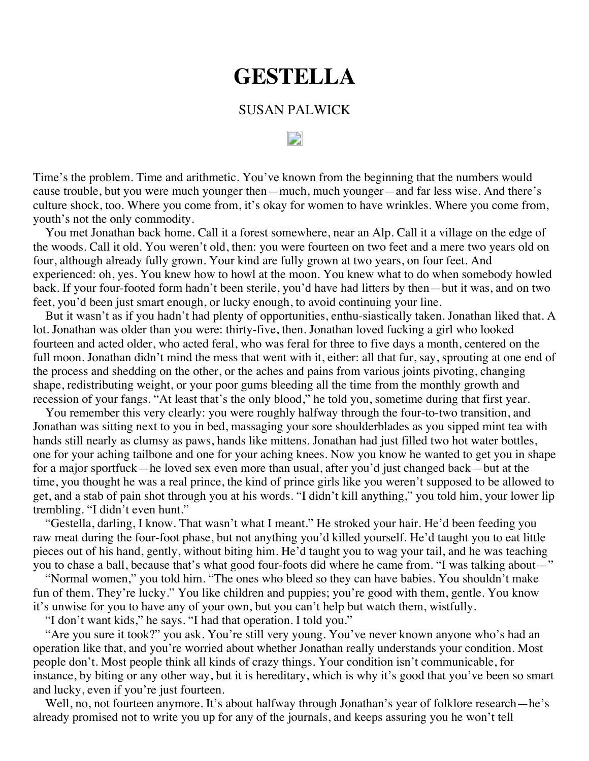## **GESTELLA**

## SUSAN PALWICK

 $\Box$ 

Time's the problem. Time and arithmetic. You've known from the beginning that the numbers would cause trouble, but you were much younger then—much, much younger—and far less wise. And there's culture shock, too. Where you come from, it's okay for women to have wrinkles. Where you come from, youth's not the only commodity.

You met Jonathan back home. Call it a forest somewhere, near an Alp. Call it a village on the edge of the woods. Call it old. You weren't old, then: you were fourteen on two feet and a mere two years old on four, although already fully grown. Your kind are fully grown at two years, on four feet. And experienced: oh, yes. You knew how to howl at the moon. You knew what to do when somebody howled back. If your four-footed form hadn't been sterile, you'd have had litters by then—but it was, and on two feet, you'd been just smart enough, or lucky enough, to avoid continuing your line.

But it wasn't as if you hadn't had plenty of opportunities, enthu-siastically taken. Jonathan liked that. A lot. Jonathan was older than you were: thirty-five, then. Jonathan loved fucking a girl who looked fourteen and acted older, who acted feral, who was feral for three to five days a month, centered on the full moon. Jonathan didn't mind the mess that went with it, either: all that fur, say, sprouting at one end of the process and shedding on the other, or the aches and pains from various joints pivoting, changing shape, redistributing weight, or your poor gums bleeding all the time from the monthly growth and recession of your fangs. "At least that's the only blood," he told you, sometime during that first year.

You remember this very clearly: you were roughly halfway through the four-to-two transition, and Jonathan was sitting next to you in bed, massaging your sore shoulderblades as you sipped mint tea with hands still nearly as clumsy as paws, hands like mittens. Jonathan had just filled two hot water bottles, one for your aching tailbone and one for your aching knees. Now you know he wanted to get you in shape for a major sportfuck—he loved sex even more than usual, after you'd just changed back—but at the time, you thought he was a real prince, the kind of prince girls like you weren't supposed to be allowed to get, and a stab of pain shot through you at his words. "I didn't kill anything," you told him, your lower lip trembling. "I didn't even hunt."

"Gestella, darling, I know. That wasn't what I meant." He stroked your hair. He'd been feeding you raw meat during the four-foot phase, but not anything you'd killed yourself. He'd taught you to eat little pieces out of his hand, gently, without biting him. He'd taught you to wag your tail, and he was teaching you to chase a ball, because that's what good four-foots did where he came from. "I was talking about—"

"Normal women," you told him. "The ones who bleed so they can have babies. You shouldn't make fun of them. They're lucky." You like children and puppies; you're good with them, gentle. You know it's unwise for you to have any of your own, but you can't help but watch them, wistfully.

"I don't want kids," he says. "I had that operation. I told you."

"Are you sure it took?" you ask. You're still very young. You've never known anyone who's had an operation like that, and you're worried about whether Jonathan really understands your condition. Most people don't. Most people think all kinds of crazy things. Your condition isn't communicable, for instance, by biting or any other way, but it is hereditary, which is why it's good that you've been so smart and lucky, even if you're just fourteen.

Well, no, not fourteen anymore. It's about halfway through Jonathan's year of folklore research—he's already promised not to write you up for any of the journals, and keeps assuring you he won't tell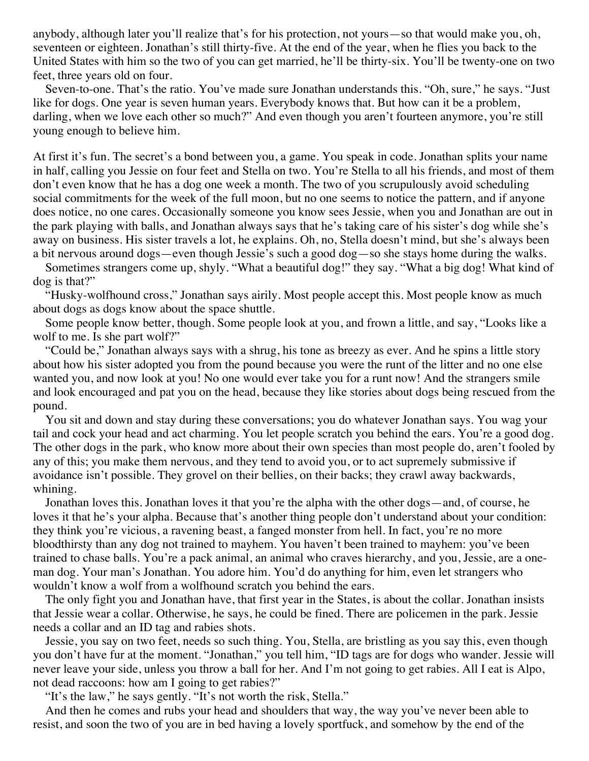anybody, although later you'll realize that's for his protection, not yours—so that would make you, oh, seventeen or eighteen. Jonathan's still thirty-five. At the end of the year, when he flies you back to the United States with him so the two of you can get married, he'll be thirty-six. You'll be twenty-one on two feet, three years old on four.

Seven-to-one. That's the ratio. You've made sure Jonathan understands this. "Oh, sure," he says. "Just like for dogs. One year is seven human years. Everybody knows that. But how can it be a problem, darling, when we love each other so much?" And even though you aren't fourteen anymore, you're still young enough to believe him.

At first it's fun. The secret's a bond between you, a game. You speak in code. Jonathan splits your name in half, calling you Jessie on four feet and Stella on two. You're Stella to all his friends, and most of them don't even know that he has a dog one week a month. The two of you scrupulously avoid scheduling social commitments for the week of the full moon, but no one seems to notice the pattern, and if anyone does notice, no one cares. Occasionally someone you know sees Jessie, when you and Jonathan are out in the park playing with balls, and Jonathan always says that he's taking care of his sister's dog while she's away on business. His sister travels a lot, he explains. Oh, no, Stella doesn't mind, but she's always been a bit nervous around dogs—even though Jessie's such a good dog—so she stays home during the walks.

Sometimes strangers come up, shyly. "What a beautiful dog!" they say. "What a big dog! What kind of dog is that?"

"Husky-wolfhound cross," Jonathan says airily. Most people accept this. Most people know as much about dogs as dogs know about the space shuttle.

Some people know better, though. Some people look at you, and frown a little, and say, "Looks like a wolf to me. Is she part wolf?"

"Could be," Jonathan always says with a shrug, his tone as breezy as ever. And he spins a little story about how his sister adopted you from the pound because you were the runt of the litter and no one else wanted you, and now look at you! No one would ever take you for a runt now! And the strangers smile and look encouraged and pat you on the head, because they like stories about dogs being rescued from the pound.

You sit and down and stay during these conversations; you do whatever Jonathan says. You wag your tail and cock your head and act charming. You let people scratch you behind the ears. You're a good dog. The other dogs in the park, who know more about their own species than most people do, aren't fooled by any of this; you make them nervous, and they tend to avoid you, or to act supremely submissive if avoidance isn't possible. They grovel on their bellies, on their backs; they crawl away backwards, whining.

Jonathan loves this. Jonathan loves it that you're the alpha with the other dogs—and, of course, he loves it that he's your alpha. Because that's another thing people don't understand about your condition: they think you're vicious, a ravening beast, a fanged monster from hell. In fact, you're no more bloodthirsty than any dog not trained to mayhem. You haven't been trained to mayhem: you've been trained to chase balls. You're a pack animal, an animal who craves hierarchy, and you, Jessie, are a oneman dog. Your man's Jonathan. You adore him. You'd do anything for him, even let strangers who wouldn't know a wolf from a wolfhound scratch you behind the ears.

The only fight you and Jonathan have, that first year in the States, is about the collar. Jonathan insists that Jessie wear a collar. Otherwise, he says, he could be fined. There are policemen in the park. Jessie needs a collar and an ID tag and rabies shots.

Jessie, you say on two feet, needs so such thing. You, Stella, are bristling as you say this, even though you don't have fur at the moment. "Jonathan," you tell him, "ID tags are for dogs who wander. Jessie will never leave your side, unless you throw a ball for her. And I'm not going to get rabies. All I eat is Alpo, not dead raccoons: how am I going to get rabies?"

"It's the law," he says gently. "It's not worth the risk, Stella."

And then he comes and rubs your head and shoulders that way, the way you've never been able to resist, and soon the two of you are in bed having a lovely sportfuck, and somehow by the end of the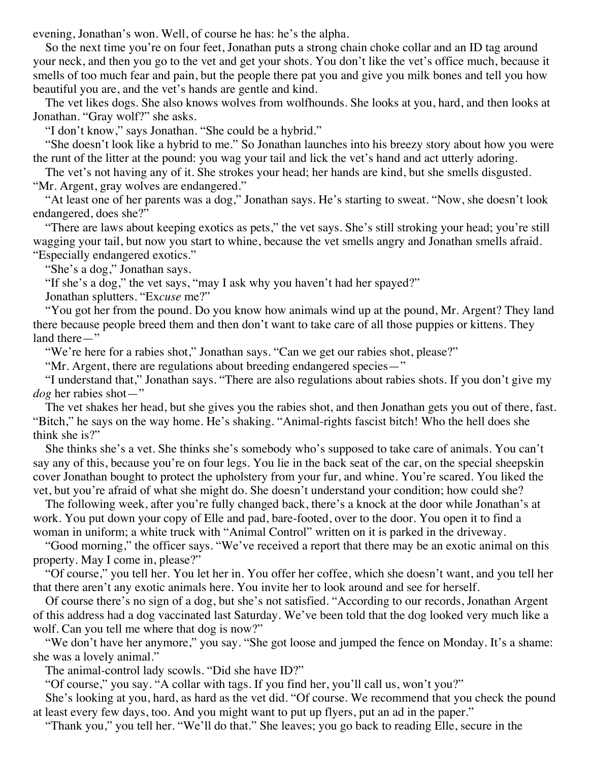evening, Jonathan's won. Well, of course he has: he's the alpha.

So the next time you're on four feet, Jonathan puts a strong chain choke collar and an ID tag around your neck, and then you go to the vet and get your shots. You don't like the vet's office much, because it smells of too much fear and pain, but the people there pat you and give you milk bones and tell you how beautiful you are, and the vet's hands are gentle and kind.

The vet likes dogs. She also knows wolves from wolfhounds. She looks at you, hard, and then looks at Jonathan. "Gray wolf?" she asks.

"I don't know," says Jonathan. "She could be a hybrid."

"She doesn't look like a hybrid to me." So Jonathan launches into his breezy story about how you were the runt of the litter at the pound: you wag your tail and lick the vet's hand and act utterly adoring.

The vet's not having any of it. She strokes your head; her hands are kind, but she smells disgusted. "Mr. Argent, gray wolves are endangered."

"At least one of her parents was a dog," Jonathan says. He's starting to sweat. "Now, she doesn't look endangered, does she?"

"There are laws about keeping exotics as pets," the vet says. She's still stroking your head; you're still wagging your tail, but now you start to whine, because the vet smells angry and Jonathan smells afraid. "Especially endangered exotics."

"She's a dog," Jonathan says.

"If she's a dog," the vet says, "may I ask why you haven't had her spayed?"

Jonathan splutters. "Ex*cuse* me?"

"You got her from the pound. Do you know how animals wind up at the pound, Mr. Argent? They land there because people breed them and then don't want to take care of all those puppies or kittens. They land there—"

"We're here for a rabies shot," Jonathan says. "Can we get our rabies shot, please?"

"Mr. Argent, there are regulations about breeding endangered species—"

"I understand that," Jonathan says. "There are also regulations about rabies shots. If you don't give my *dog* her rabies shot—"

The vet shakes her head, but she gives you the rabies shot, and then Jonathan gets you out of there, fast. "Bitch," he says on the way home. He's shaking. "Animal-rights fascist bitch! Who the hell does she think she is?"

She thinks she's a vet. She thinks she's somebody who's supposed to take care of animals. You can't say any of this, because you're on four legs. You lie in the back seat of the car, on the special sheepskin cover Jonathan bought to protect the upholstery from your fur, and whine. You're scared. You liked the vet, but you're afraid of what she might do. She doesn't understand your condition; how could she?

The following week, after you're fully changed back, there's a knock at the door while Jonathan's at work. You put down your copy of Elle and pad, bare-footed, over to the door. You open it to find a woman in uniform; a white truck with "Animal Control" written on it is parked in the driveway.

"Good morning," the officer says. "We've received a report that there may be an exotic animal on this property. May I come in, please?"

"Of course," you tell her. You let her in. You offer her coffee, which she doesn't want, and you tell her that there aren't any exotic animals here. You invite her to look around and see for herself.

Of course there's no sign of a dog, but she's not satisfied. "According to our records, Jonathan Argent of this address had a dog vaccinated last Saturday. We've been told that the dog looked very much like a wolf. Can you tell me where that dog is now?"

"We don't have her anymore," you say. "She got loose and jumped the fence on Monday. It's a shame: she was a lovely animal."

The animal-control lady scowls. "Did she have ID?"

"Of course," you say. "A collar with tags. If you find her, you'll call us, won't you?"

She's looking at you, hard, as hard as the vet did. "Of course. We recommend that you check the pound at least every few days, too. And you might want to put up flyers, put an ad in the paper."

"Thank you," you tell her. "We'll do that." She leaves; you go back to reading Elle, secure in the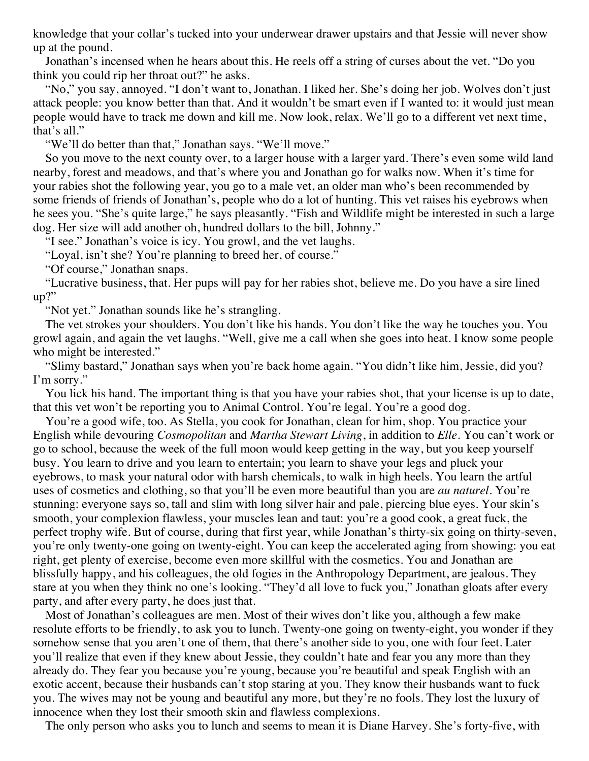knowledge that your collar's tucked into your underwear drawer upstairs and that Jessie will never show up at the pound.

Jonathan's incensed when he hears about this. He reels off a string of curses about the vet. "Do you think you could rip her throat out?" he asks.

"No," you say, annoyed. "I don't want to, Jonathan. I liked her. She's doing her job. Wolves don't just attack people: you know better than that. And it wouldn't be smart even if I wanted to: it would just mean people would have to track me down and kill me. Now look, relax. We'll go to a different vet next time, that's all."

"We'll do better than that," Jonathan says. "We'll move."

So you move to the next county over, to a larger house with a larger yard. There's even some wild land nearby, forest and meadows, and that's where you and Jonathan go for walks now. When it's time for your rabies shot the following year, you go to a male vet, an older man who's been recommended by some friends of friends of Jonathan's, people who do a lot of hunting. This vet raises his eyebrows when he sees you. "She's quite large," he says pleasantly. "Fish and Wildlife might be interested in such a large dog. Her size will add another oh, hundred dollars to the bill, Johnny."

"I see." Jonathan's voice is icy. You growl, and the vet laughs.

"Loyal, isn't she? You're planning to breed her, of course."

"Of course," Jonathan snaps.

"Lucrative business, that. Her pups will pay for her rabies shot, believe me. Do you have a sire lined up?"

"Not yet." Jonathan sounds like he's strangling.

The vet strokes your shoulders. You don't like his hands. You don't like the way he touches you. You growl again, and again the vet laughs. "Well, give me a call when she goes into heat. I know some people who might be interested."

"Slimy bastard," Jonathan says when you're back home again. "You didn't like him, Jessie, did you? I'm sorry."

You lick his hand. The important thing is that you have your rabies shot, that your license is up to date, that this vet won't be reporting you to Animal Control. You're legal. You're a good dog.

You're a good wife, too. As Stella, you cook for Jonathan, clean for him, shop. You practice your English while devouring *Cosmopolitan* and *Martha Stewart Living*, in addition to *Elle.* You can't work or go to school, because the week of the full moon would keep getting in the way, but you keep yourself busy. You learn to drive and you learn to entertain; you learn to shave your legs and pluck your eyebrows, to mask your natural odor with harsh chemicals, to walk in high heels. You learn the artful uses of cosmetics and clothing, so that you'll be even more beautiful than you are *au naturel*. You're stunning: everyone says so, tall and slim with long silver hair and pale, piercing blue eyes. Your skin's smooth, your complexion flawless, your muscles lean and taut: you're a good cook, a great fuck, the perfect trophy wife. But of course, during that first year, while Jonathan's thirty-six going on thirty-seven, you're only twenty-one going on twenty-eight. You can keep the accelerated aging from showing: you eat right, get plenty of exercise, become even more skillful with the cosmetics. You and Jonathan are blissfully happy, and his colleagues, the old fogies in the Anthropology Department, are jealous. They stare at you when they think no one's looking. "They'd all love to fuck you," Jonathan gloats after every party, and after every party, he does just that.

Most of Jonathan's colleagues are men. Most of their wives don't like you, although a few make resolute efforts to be friendly, to ask you to lunch. Twenty-one going on twenty-eight, you wonder if they somehow sense that you aren't one of them, that there's another side to you, one with four feet. Later you'll realize that even if they knew about Jessie, they couldn't hate and fear you any more than they already do. They fear you because you're young, because you're beautiful and speak English with an exotic accent, because their husbands can't stop staring at you. They know their husbands want to fuck you. The wives may not be young and beautiful any more, but they're no fools. They lost the luxury of innocence when they lost their smooth skin and flawless complexions.

The only person who asks you to lunch and seems to mean it is Diane Harvey. She's forty-five, with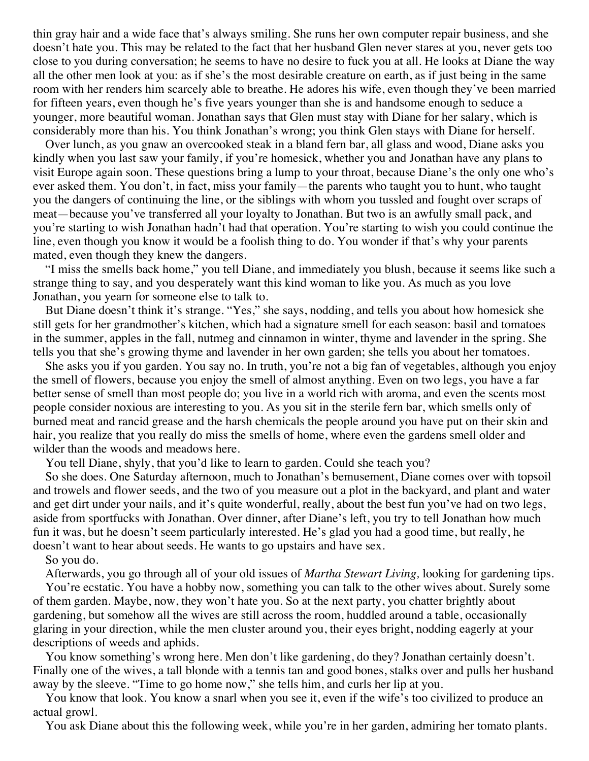thin gray hair and a wide face that's always smiling. She runs her own computer repair business, and she doesn't hate you. This may be related to the fact that her husband Glen never stares at you, never gets too close to you during conversation; he seems to have no desire to fuck you at all. He looks at Diane the way all the other men look at you: as if she's the most desirable creature on earth, as if just being in the same room with her renders him scarcely able to breathe. He adores his wife, even though they've been married for fifteen years, even though he's five years younger than she is and handsome enough to seduce a younger, more beautiful woman. Jonathan says that Glen must stay with Diane for her salary, which is considerably more than his. You think Jonathan's wrong; you think Glen stays with Diane for herself.

Over lunch, as you gnaw an overcooked steak in a bland fern bar, all glass and wood, Diane asks you kindly when you last saw your family, if you're homesick, whether you and Jonathan have any plans to visit Europe again soon. These questions bring a lump to your throat, because Diane's the only one who's ever asked them. You don't, in fact, miss your family—the parents who taught you to hunt, who taught you the dangers of continuing the line, or the siblings with whom you tussled and fought over scraps of meat—because you've transferred all your loyalty to Jonathan. But two is an awfully small pack, and you're starting to wish Jonathan hadn't had that operation. You're starting to wish you could continue the line, even though you know it would be a foolish thing to do. You wonder if that's why your parents mated, even though they knew the dangers.

"I miss the smells back home," you tell Diane, and immediately you blush, because it seems like such a strange thing to say, and you desperately want this kind woman to like you. As much as you love Jonathan, you yearn for someone else to talk to.

But Diane doesn't think it's strange. "Yes," she says, nodding, and tells you about how homesick she still gets for her grandmother's kitchen, which had a signature smell for each season: basil and tomatoes in the summer, apples in the fall, nutmeg and cinnamon in winter, thyme and lavender in the spring. She tells you that she's growing thyme and lavender in her own garden; she tells you about her tomatoes.

She asks you if you garden. You say no. In truth, you're not a big fan of vegetables, although you enjoy the smell of flowers, because you enjoy the smell of almost anything. Even on two legs, you have a far better sense of smell than most people do; you live in a world rich with aroma, and even the scents most people consider noxious are interesting to you. As you sit in the sterile fern bar, which smells only of burned meat and rancid grease and the harsh chemicals the people around you have put on their skin and hair, you realize that you really do miss the smells of home, where even the gardens smell older and wilder than the woods and meadows here.

You tell Diane, shyly, that you'd like to learn to garden. Could she teach you?

So she does. One Saturday afternoon, much to Jonathan's bemusement, Diane comes over with topsoil and trowels and flower seeds, and the two of you measure out a plot in the backyard, and plant and water and get dirt under your nails, and it's quite wonderful, really, about the best fun you've had on two legs, aside from sportfucks with Jonathan. Over dinner, after Diane's left, you try to tell Jonathan how much fun it was, but he doesn't seem particularly interested. He's glad you had a good time, but really, he doesn't want to hear about seeds. He wants to go upstairs and have sex.

So you do.

Afterwards, you go through all of your old issues of *Martha Stewart Living,* looking for gardening tips.

You're ecstatic. You have a hobby now, something you can talk to the other wives about. Surely some of them garden. Maybe, now, they won't hate you. So at the next party, you chatter brightly about gardening, but somehow all the wives are still across the room, huddled around a table, occasionally glaring in your direction, while the men cluster around you, their eyes bright, nodding eagerly at your descriptions of weeds and aphids.

You know something's wrong here. Men don't like gardening, do they? Jonathan certainly doesn't. Finally one of the wives, a tall blonde with a tennis tan and good bones, stalks over and pulls her husband away by the sleeve. "Time to go home now," she tells him, and curls her lip at you.

You know that look. You know a snarl when you see it, even if the wife's too civilized to produce an actual growl.

You ask Diane about this the following week, while you're in her garden, admiring her tomato plants.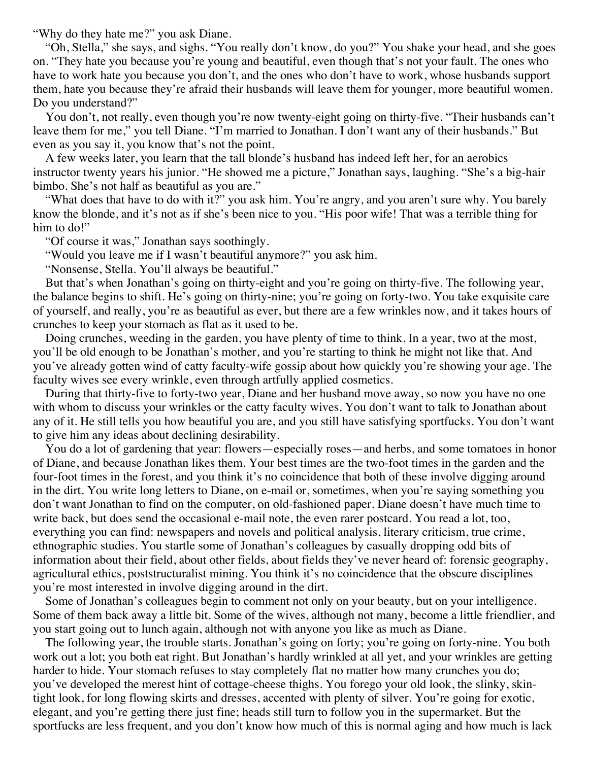"Why do they hate me?" you ask Diane.

"Oh, Stella," she says, and sighs. "You really don't know, do you?" You shake your head, and she goes on. "They hate you because you're young and beautiful, even though that's not your fault. The ones who have to work hate you because you don't, and the ones who don't have to work, whose husbands support them, hate you because they're afraid their husbands will leave them for younger, more beautiful women. Do you understand?"

You don't, not really, even though you're now twenty-eight going on thirty-five. "Their husbands can't leave them for me," you tell Diane. "I'm married to Jonathan. I don't want any of their husbands." But even as you say it, you know that's not the point.

A few weeks later, you learn that the tall blonde's husband has indeed left her, for an aerobics instructor twenty years his junior. "He showed me a picture," Jonathan says, laughing. "She's a big-hair bimbo. She's not half as beautiful as you are."

"What does that have to do with it?" you ask him. You're angry, and you aren't sure why. You barely know the blonde, and it's not as if she's been nice to you. "His poor wife! That was a terrible thing for him to do!"

"Of course it was," Jonathan says soothingly.

"Would you leave me if I wasn't beautiful anymore?" you ask him.

"Nonsense, Stella. You'll always be beautiful."

But that's when Jonathan's going on thirty-eight and you're going on thirty-five. The following year, the balance begins to shift. He's going on thirty-nine; you're going on forty-two. You take exquisite care of yourself, and really, you're as beautiful as ever, but there are a few wrinkles now, and it takes hours of crunches to keep your stomach as flat as it used to be.

Doing crunches, weeding in the garden, you have plenty of time to think. In a year, two at the most, you'll be old enough to be Jonathan's mother, and you're starting to think he might not like that. And you've already gotten wind of catty faculty-wife gossip about how quickly you're showing your age. The faculty wives see every wrinkle, even through artfully applied cosmetics.

During that thirty-five to forty-two year, Diane and her husband move away, so now you have no one with whom to discuss your wrinkles or the catty faculty wives. You don't want to talk to Jonathan about any of it. He still tells you how beautiful you are, and you still have satisfying sportfucks. You don't want to give him any ideas about declining desirability.

You do a lot of gardening that year: flowers—especially roses—and herbs, and some tomatoes in honor of Diane, and because Jonathan likes them. Your best times are the two-foot times in the garden and the four-foot times in the forest, and you think it's no coincidence that both of these involve digging around in the dirt. You write long letters to Diane, on e-mail or, sometimes, when you're saying something you don't want Jonathan to find on the computer, on old-fashioned paper. Diane doesn't have much time to write back, but does send the occasional e-mail note, the even rarer postcard. You read a lot, too, everything you can find: newspapers and novels and political analysis, literary criticism, true crime, ethnographic studies. You startle some of Jonathan's colleagues by casually dropping odd bits of information about their field, about other fields, about fields they've never heard of: forensic geography, agricultural ethics, poststructuralist mining. You think it's no coincidence that the obscure disciplines you're most interested in involve digging around in the dirt.

Some of Jonathan's colleagues begin to comment not only on your beauty, but on your intelligence. Some of them back away a little bit. Some of the wives, although not many, become a little friendlier, and you start going out to lunch again, although not with anyone you like as much as Diane.

The following year, the trouble starts. Jonathan's going on forty; you're going on forty-nine. You both work out a lot; you both eat right. But Jonathan's hardly wrinkled at all yet, and your wrinkles are getting harder to hide. Your stomach refuses to stay completely flat no matter how many crunches you do; you've developed the merest hint of cottage-cheese thighs. You forego your old look, the slinky, skintight look, for long flowing skirts and dresses, accented with plenty of silver. You're going for exotic, elegant, and you're getting there just fine; heads still turn to follow you in the supermarket. But the sportfucks are less frequent, and you don't know how much of this is normal aging and how much is lack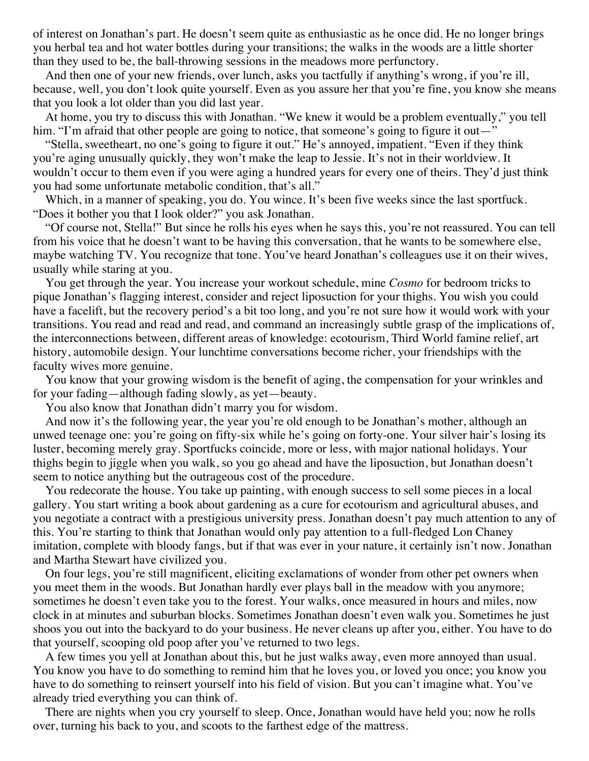of interest on Jonathan's part. He doesn't seem quite as enthusiastic as he once did. He no longer brings you herbal tea and hot water bottles during your transitions; the walks in the woods are a little shorter than they used to be, the ball-throwing sessions in the meadows more perfunctory.

And then one of your new friends, over lunch, asks you tactfully if anything's wrong, if you're ill, because, well, you don't look quite yourself. Even as you assure her that you're fine, you know she means that you look a lot older than you did last year.

At home, you try to discuss this with Jonathan. "We knew it would be a problem eventually," you tell him. "I'm afraid that other people are going to notice, that someone's going to figure it out—"

"Stella, sweetheart, no one's going to figure it out." He's annoyed, impatient. "Even if they think you're aging unusually quickly, they won't make the leap to Jessie. It's not in their worldview. It wouldn't occur to them even if you were aging a hundred years for every one of theirs. They'd just think you had some unfortunate metabolic condition, that's all."

Which, in a manner of speaking, you do. You wince. It's been five weeks since the last sportfuck. "Does it bother you that I look older?" you ask Jonathan.

"Of course not, Stella!" But since he rolls his eyes when he says this, you're not reassured. You can tell from his voice that he doesn't want to be having this conversation, that he wants to be somewhere else, maybe watching TV. You recognize that tone. You've heard Jonathan's colleagues use it on their wives, usually while staring at you.

You get through the year. You increase your workout schedule, mine *Cosmo* for bedroom tricks to pique Jonathan's flagging interest, consider and reject liposuction for your thighs. You wish you could have a facelift, but the recovery period's a bit too long, and you're not sure how it would work with your transitions. You read and read and read, and command an increasingly subtle grasp of the implications of, the interconnections between, different areas of knowledge: ecotourism, Third World famine relief, art history, automobile design. Your lunchtime conversations become richer, your friendships with the faculty wives more genuine.

You know that your growing wisdom is the benefit of aging, the compensation for your wrinkles and for your fading—although fading slowly, as yet—beauty.

You also know that Jonathan didn't marry you for wisdom.

And now it's the following year, the year you're old enough to be Jonathan's mother, although an unwed teenage one: you're going on fifty-six while he's going on forty-one. Your silver hair's losing its luster, becoming merely gray. Sportfucks coincide, more or less, with major national holidays. Your thighs begin to jiggle when you walk, so you go ahead and have the liposuction, but Jonathan doesn't seem to notice anything but the outrageous cost of the procedure.

You redecorate the house. You take up painting, with enough success to sell some pieces in a local gallery. You start writing a book about gardening as a cure for ecotourism and agricultural abuses, and you negotiate a contract with a prestigious university press. Jonathan doesn't pay much attention to any of this. You're starting to think that Jonathan would only pay attention to a full-fledged Lon Chaney imitation, complete with bloody fangs, but if that was ever in your nature, it certainly isn't now. Jonathan and Martha Stewart have civilized you.

On four legs, you're still magnificent, eliciting exclamations of wonder from other pet owners when you meet them in the woods. But Jonathan hardly ever plays ball in the meadow with you anymore; sometimes he doesn't even take you to the forest. Your walks, once measured in hours and miles, now clock in at minutes and suburban blocks. Sometimes Jonathan doesn't even walk you. Sometimes he just shoos you out into the backyard to do your business. He never cleans up after you, either. You have to do that yourself, scooping old poop after you've returned to two legs.

A few times you yell at Jonathan about this, but he just walks away, even more annoyed than usual. You know you have to do something to remind him that he loves you, or loved you once; you know you have to do something to reinsert yourself into his field of vision. But you can't imagine what. You've already tried everything you can think of.

There are nights when you cry yourself to sleep. Once, Jonathan would have held you; now he rolls over, turning his back to you, and scoots to the farthest edge of the mattress.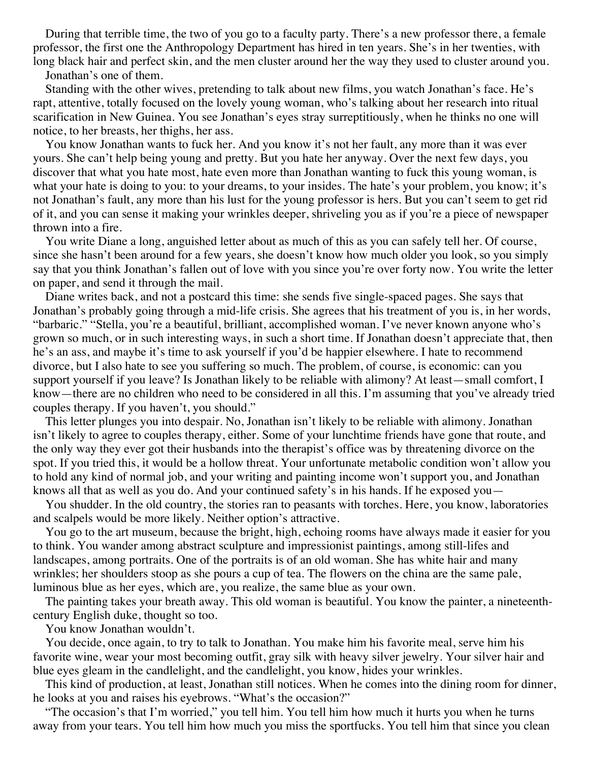During that terrible time, the two of you go to a faculty party. There's a new professor there, a female professor, the first one the Anthropology Department has hired in ten years. She's in her twenties, with long black hair and perfect skin, and the men cluster around her the way they used to cluster around you.

Jonathan's one of them.

Standing with the other wives, pretending to talk about new films, you watch Jonathan's face. He's rapt, attentive, totally focused on the lovely young woman, who's talking about her research into ritual scarification in New Guinea. You see Jonathan's eyes stray surreptitiously, when he thinks no one will notice, to her breasts, her thighs, her ass.

You know Jonathan wants to fuck her. And you know it's not her fault, any more than it was ever yours. She can't help being young and pretty. But you hate her anyway. Over the next few days, you discover that what you hate most, hate even more than Jonathan wanting to fuck this young woman, is what your hate is doing to you: to your dreams, to your insides. The hate's your problem, you know; it's not Jonathan's fault, any more than his lust for the young professor is hers. But you can't seem to get rid of it, and you can sense it making your wrinkles deeper, shriveling you as if you're a piece of newspaper thrown into a fire.

You write Diane a long, anguished letter about as much of this as you can safely tell her. Of course, since she hasn't been around for a few years, she doesn't know how much older you look, so you simply say that you think Jonathan's fallen out of love with you since you're over forty now. You write the letter on paper, and send it through the mail.

Diane writes back, and not a postcard this time: she sends five single-spaced pages. She says that Jonathan's probably going through a mid-life crisis. She agrees that his treatment of you is, in her words, "barbaric." "Stella, you're a beautiful, brilliant, accomplished woman. I've never known anyone who's grown so much, or in such interesting ways, in such a short time. If Jonathan doesn't appreciate that, then he's an ass, and maybe it's time to ask yourself if you'd be happier elsewhere. I hate to recommend divorce, but I also hate to see you suffering so much. The problem, of course, is economic: can you support yourself if you leave? Is Jonathan likely to be reliable with alimony? At least—small comfort, I know—there are no children who need to be considered in all this. I'm assuming that you've already tried couples therapy. If you haven't, you should."

This letter plunges you into despair. No, Jonathan isn't likely to be reliable with alimony. Jonathan isn't likely to agree to couples therapy, either. Some of your lunchtime friends have gone that route, and the only way they ever got their husbands into the therapist's office was by threatening divorce on the spot. If you tried this, it would be a hollow threat. Your unfortunate metabolic condition won't allow you to hold any kind of normal job, and your writing and painting income won't support you, and Jonathan knows all that as well as you do. And your continued safety's in his hands. If he exposed you—

You shudder. In the old country, the stories ran to peasants with torches. Here, you know, laboratories and scalpels would be more likely. Neither option's attractive.

You go to the art museum, because the bright, high, echoing rooms have always made it easier for you to think. You wander among abstract sculpture and impressionist paintings, among still-lifes and landscapes, among portraits. One of the portraits is of an old woman. She has white hair and many wrinkles; her shoulders stoop as she pours a cup of tea. The flowers on the china are the same pale, luminous blue as her eyes, which are, you realize, the same blue as your own.

The painting takes your breath away. This old woman is beautiful. You know the painter, a nineteenthcentury English duke, thought so too.

You know Jonathan wouldn't.

You decide, once again, to try to talk to Jonathan. You make him his favorite meal, serve him his favorite wine, wear your most becoming outfit, gray silk with heavy silver jewelry. Your silver hair and blue eyes gleam in the candlelight, and the candlelight, you know, hides your wrinkles.

This kind of production, at least, Jonathan still notices. When he comes into the dining room for dinner, he looks at you and raises his eyebrows. "What's the occasion?"

"The occasion's that I'm worried," you tell him. You tell him how much it hurts you when he turns away from your tears. You tell him how much you miss the sportfucks. You tell him that since you clean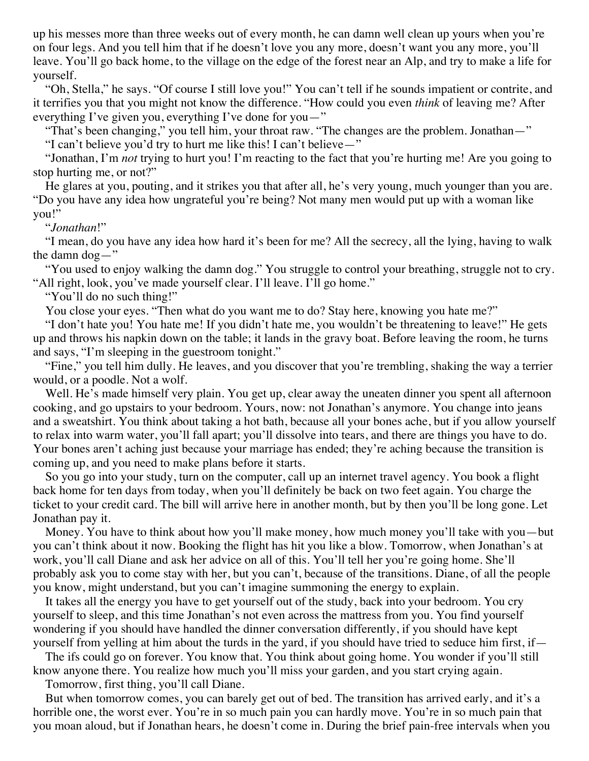up his messes more than three weeks out of every month, he can damn well clean up yours when you're on four legs. And you tell him that if he doesn't love you any more, doesn't want you any more, you'll leave. You'll go back home, to the village on the edge of the forest near an Alp, and try to make a life for yourself.

"Oh, Stella," he says. "Of course I still love you!" You can't tell if he sounds impatient or contrite, and it terrifies you that you might not know the difference. "How could you even *think* of leaving me? After everything I've given you, everything I've done for you—"

"That's been changing," you tell him, your throat raw. "The changes are the problem. Jonathan—" "I can't believe you'd try to hurt me like this! I can't believe—"

"Jonathan, I'm *not* trying to hurt you! I'm reacting to the fact that you're hurting me! Are you going to stop hurting me, or not?"

He glares at you, pouting, and it strikes you that after all, he's very young, much younger than you are. "Do you have any idea how ungrateful you're being? Not many men would put up with a woman like you!"

## "*Jonathan*!"

"I mean, do you have any idea how hard it's been for me? All the secrecy, all the lying, having to walk the damn dog—"

"You used to enjoy walking the damn dog." You struggle to control your breathing, struggle not to cry. "All right, look, you've made yourself clear. I'll leave. I'll go home."

"You'll do no such thing!"

You close your eyes. "Then what do you want me to do? Stay here, knowing you hate me?"

"I don't hate you! You hate me! If you didn't hate me, you wouldn't be threatening to leave!" He gets up and throws his napkin down on the table; it lands in the gravy boat. Before leaving the room, he turns and says, "I'm sleeping in the guestroom tonight."

"Fine," you tell him dully. He leaves, and you discover that you're trembling, shaking the way a terrier would, or a poodle. Not a wolf.

Well. He's made himself very plain. You get up, clear away the uneaten dinner you spent all afternoon cooking, and go upstairs to your bedroom. Yours, now: not Jonathan's anymore. You change into jeans and a sweatshirt. You think about taking a hot bath, because all your bones ache, but if you allow yourself to relax into warm water, you'll fall apart; you'll dissolve into tears, and there are things you have to do. Your bones aren't aching just because your marriage has ended; they're aching because the transition is coming up, and you need to make plans before it starts.

So you go into your study, turn on the computer, call up an internet travel agency. You book a flight back home for ten days from today, when you'll definitely be back on two feet again. You charge the ticket to your credit card. The bill will arrive here in another month, but by then you'll be long gone. Let Jonathan pay it.

Money. You have to think about how you'll make money, how much money you'll take with you—but you can't think about it now. Booking the flight has hit you like a blow. Tomorrow, when Jonathan's at work, you'll call Diane and ask her advice on all of this. You'll tell her you're going home. She'll probably ask you to come stay with her, but you can't, because of the transitions. Diane, of all the people you know, might understand, but you can't imagine summoning the energy to explain.

It takes all the energy you have to get yourself out of the study, back into your bedroom. You cry yourself to sleep, and this time Jonathan's not even across the mattress from you. You find yourself wondering if you should have handled the dinner conversation differently, if you should have kept yourself from yelling at him about the turds in the yard, if you should have tried to seduce him first, if—

The ifs could go on forever. You know that. You think about going home. You wonder if you'll still know anyone there. You realize how much you'll miss your garden, and you start crying again.

Tomorrow, first thing, you'll call Diane.

But when tomorrow comes, you can barely get out of bed. The transition has arrived early, and it's a horrible one, the worst ever. You're in so much pain you can hardly move. You're in so much pain that you moan aloud, but if Jonathan hears, he doesn't come in. During the brief pain-free intervals when you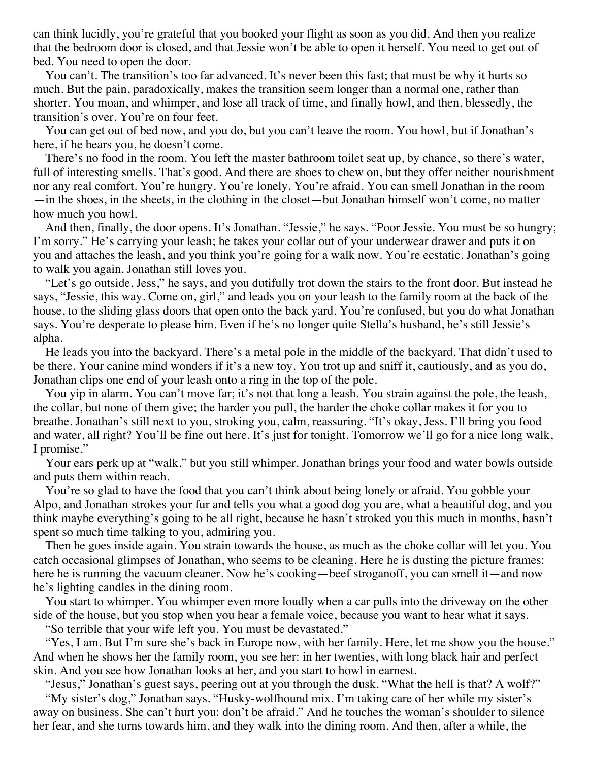can think lucidly, you're grateful that you booked your flight as soon as you did. And then you realize that the bedroom door is closed, and that Jessie won't be able to open it herself. You need to get out of bed. You need to open the door.

You can't. The transition's too far advanced. It's never been this fast; that must be why it hurts so much. But the pain, paradoxically, makes the transition seem longer than a normal one, rather than shorter. You moan, and whimper, and lose all track of time, and finally howl, and then, blessedly, the transition's over. You're on four feet.

You can get out of bed now, and you do, but you can't leave the room. You howl, but if Jonathan's here, if he hears you, he doesn't come.

There's no food in the room. You left the master bathroom toilet seat up, by chance, so there's water, full of interesting smells. That's good. And there are shoes to chew on, but they offer neither nourishment nor any real comfort. You're hungry. You're lonely. You're afraid. You can smell Jonathan in the room —in the shoes, in the sheets, in the clothing in the closet—but Jonathan himself won't come, no matter how much you howl.

And then, finally, the door opens. It's Jonathan. "Jessie," he says. "Poor Jessie. You must be so hungry; I'm sorry." He's carrying your leash; he takes your collar out of your underwear drawer and puts it on you and attaches the leash, and you think you're going for a walk now. You're ecstatic. Jonathan's going to walk you again. Jonathan still loves you.

"Let's go outside, Jess," he says, and you dutifully trot down the stairs to the front door. But instead he says, "Jessie, this way. Come on, girl," and leads you on your leash to the family room at the back of the house, to the sliding glass doors that open onto the back yard. You're confused, but you do what Jonathan says. You're desperate to please him. Even if he's no longer quite Stella's husband, he's still Jessie's alpha.

He leads you into the backyard. There's a metal pole in the middle of the backyard. That didn't used to be there. Your canine mind wonders if it's a new toy. You trot up and sniff it, cautiously, and as you do, Jonathan clips one end of your leash onto a ring in the top of the pole.

You yip in alarm. You can't move far; it's not that long a leash. You strain against the pole, the leash, the collar, but none of them give; the harder you pull, the harder the choke collar makes it for you to breathe. Jonathan's still next to you, stroking you, calm, reassuring. "It's okay, Jess. I'll bring you food and water, all right? You'll be fine out here. It's just for tonight. Tomorrow we'll go for a nice long walk, I promise."

Your ears perk up at "walk," but you still whimper. Jonathan brings your food and water bowls outside and puts them within reach.

You're so glad to have the food that you can't think about being lonely or afraid. You gobble your Alpo, and Jonathan strokes your fur and tells you what a good dog you are, what a beautiful dog, and you think maybe everything's going to be all right, because he hasn't stroked you this much in months, hasn't spent so much time talking to you, admiring you.

Then he goes inside again. You strain towards the house, as much as the choke collar will let you. You catch occasional glimpses of Jonathan, who seems to be cleaning. Here he is dusting the picture frames: here he is running the vacuum cleaner. Now he's cooking—beef stroganoff, you can smell it—and now he's lighting candles in the dining room.

You start to whimper. You whimper even more loudly when a car pulls into the driveway on the other side of the house, but you stop when you hear a female voice, because you want to hear what it says. "So terrible that your wife left you. You must be devastated."

"Yes, I am. But I'm sure she's back in Europe now, with her family. Here, let me show you the house." And when he shows her the family room, you see her: in her twenties, with long black hair and perfect skin. And you see how Jonathan looks at her, and you start to howl in earnest.

"Jesus," Jonathan's guest says, peering out at you through the dusk. "What the hell is that? A wolf?"

"My sister's dog," Jonathan says. "Husky-wolfhound mix. I'm taking care of her while my sister's away on business. She can't hurt you: don't be afraid." And he touches the woman's shoulder to silence her fear, and she turns towards him, and they walk into the dining room. And then, after a while, the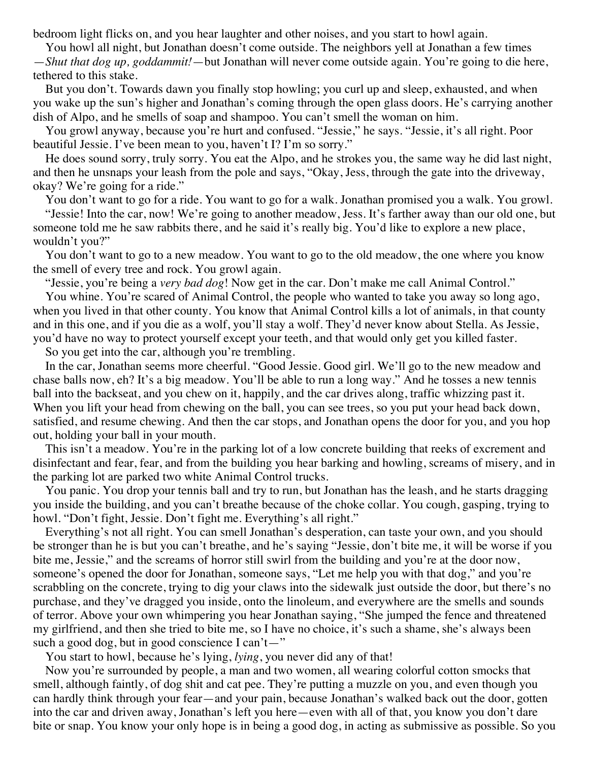bedroom light flicks on, and you hear laughter and other noises, and you start to howl again.

You howl all night, but Jonathan doesn't come outside. The neighbors yell at Jonathan a few times —*Shut that dog up, goddammit!*—but Jonathan will never come outside again. You're going to die here, tethered to this stake.

But you don't. Towards dawn you finally stop howling; you curl up and sleep, exhausted, and when you wake up the sun's higher and Jonathan's coming through the open glass doors. He's carrying another dish of Alpo, and he smells of soap and shampoo. You can't smell the woman on him.

You growl anyway, because you're hurt and confused. "Jessie," he says. "Jessie, it's all right. Poor beautiful Jessie. I've been mean to you, haven't I? I'm so sorry."

He does sound sorry, truly sorry. You eat the Alpo, and he strokes you, the same way he did last night, and then he unsnaps your leash from the pole and says, "Okay, Jess, through the gate into the driveway, okay? We're going for a ride."

You don't want to go for a ride. You want to go for a walk. Jonathan promised you a walk. You growl. "Jessie! Into the car, now! We're going to another meadow, Jess. It's farther away than our old one, but someone told me he saw rabbits there, and he said it's really big. You'd like to explore a new place, wouldn't you?"

You don't want to go to a new meadow. You want to go to the old meadow, the one where you know the smell of every tree and rock. You growl again.

"Jessie, you're being a *very bad dog*! Now get in the car. Don't make me call Animal Control."

You whine. You're scared of Animal Control, the people who wanted to take you away so long ago, when you lived in that other county. You know that Animal Control kills a lot of animals, in that county and in this one, and if you die as a wolf, you'll stay a wolf. They'd never know about Stella. As Jessie, you'd have no way to protect yourself except your teeth, and that would only get you killed faster.

So you get into the car, although you're trembling.

In the car, Jonathan seems more cheerful. "Good Jessie. Good girl. We'll go to the new meadow and chase balls now, eh? It's a big meadow. You'll be able to run a long way." And he tosses a new tennis ball into the backseat, and you chew on it, happily, and the car drives along, traffic whizzing past it. When you lift your head from chewing on the ball, you can see trees, so you put your head back down, satisfied, and resume chewing. And then the car stops, and Jonathan opens the door for you, and you hop out, holding your ball in your mouth.

This isn't a meadow. You're in the parking lot of a low concrete building that reeks of excrement and disinfectant and fear, fear, and from the building you hear barking and howling, screams of misery, and in the parking lot are parked two white Animal Control trucks.

You panic. You drop your tennis ball and try to run, but Jonathan has the leash, and he starts dragging you inside the building, and you can't breathe because of the choke collar. You cough, gasping, trying to howl. "Don't fight, Jessie. Don't fight me. Everything's all right."

Everything's not all right. You can smell Jonathan's desperation, can taste your own, and you should be stronger than he is but you can't breathe, and he's saying "Jessie, don't bite me, it will be worse if you bite me, Jessie," and the screams of horror still swirl from the building and you're at the door now, someone's opened the door for Jonathan, someone says, "Let me help you with that dog," and you're scrabbling on the concrete, trying to dig your claws into the sidewalk just outside the door, but there's no purchase, and they've dragged you inside, onto the linoleum, and everywhere are the smells and sounds of terror. Above your own whimpering you hear Jonathan saying, "She jumped the fence and threatened my girlfriend, and then she tried to bite me, so I have no choice, it's such a shame, she's always been such a good dog, but in good conscience I can't—"

You start to howl, because he's lying, *lying*, you never did any of that!

Now you're surrounded by people, a man and two women, all wearing colorful cotton smocks that smell, although faintly, of dog shit and cat pee. They're putting a muzzle on you, and even though you can hardly think through your fear—and your pain, because Jonathan's walked back out the door, gotten into the car and driven away, Jonathan's left you here—even with all of that, you know you don't dare bite or snap. You know your only hope is in being a good dog, in acting as submissive as possible. So you